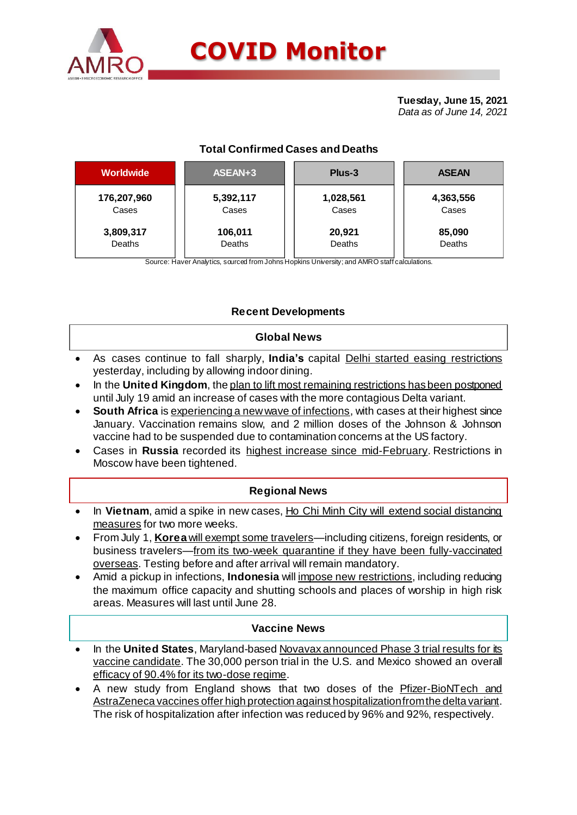

# **COVID Monitor**

**Tuesday, June 15, 2021** *Data as of June 14, 2021*

# **Total Confirmed Cases and Deaths**

| <b>Worldwide</b> | ASEAN+3   | Plus-3    | <b>ASEAN</b> |  |  |
|------------------|-----------|-----------|--------------|--|--|
| 176,207,960      | 5,392,117 | 1,028,561 | 4,363,556    |  |  |
| Cases            | Cases     | Cases     | Cases        |  |  |
| 3,809,317        | 106,011   | 20,921    | 85,090       |  |  |
| Deaths           | Deaths    | Deaths    | Deaths       |  |  |

Source: Haver Analytics, sourced from Johns Hopkins University; and AMRO staff calculations.

## **Recent Developments**

#### **Global News**

- As cases continue to fall sharply, **India's** capital Delhi started easing restrictions yesterday, including by allowing indoor dining.
- In the **United Kingdom**, the plan to lift most remaining restrictions has been postponed until July 19 amid an increase of cases with the more contagious Delta variant.
- **South Africa** is experiencing a new wave of infections, with cases at their highest since January. Vaccination remains slow, and 2 million doses of the Johnson & Johnson vaccine had to be suspended due to contamination concerns at the US factory.
- Cases in **Russia** recorded its highest increase since mid-February. Restrictions in Moscow have been tightened.

#### **Regional News**

- In **Vietnam**, amid a spike in new cases, Ho Chi Minh City will extend social distancing measures for two more weeks.
- From July 1, **Korea** will exempt some travelers—including citizens, foreign residents, or business travelers—from its two-week quarantine if they have been fully-vaccinated overseas. Testing before and after arrival will remain mandatory.
- Amid a pickup in infections, **Indonesia** will impose new restrictions, including reducing the maximum office capacity and shutting schools and places of worship in high risk areas. Measures will last until June 28.

#### **Vaccine News**

- In the **United States**, Maryland-based Novavax announced Phase 3 trial results for its vaccine candidate. The 30,000 person trial in the U.S. and Mexico showed an overall efficacy of 90.4% for its two-dose regime.
- A new study from England shows that two doses of the Pfizer-BioNTech and AstraZeneca vaccines offer high protection against hospitalization from the delta variant. The risk of hospitalization after infection was reduced by 96% and 92%, respectively.